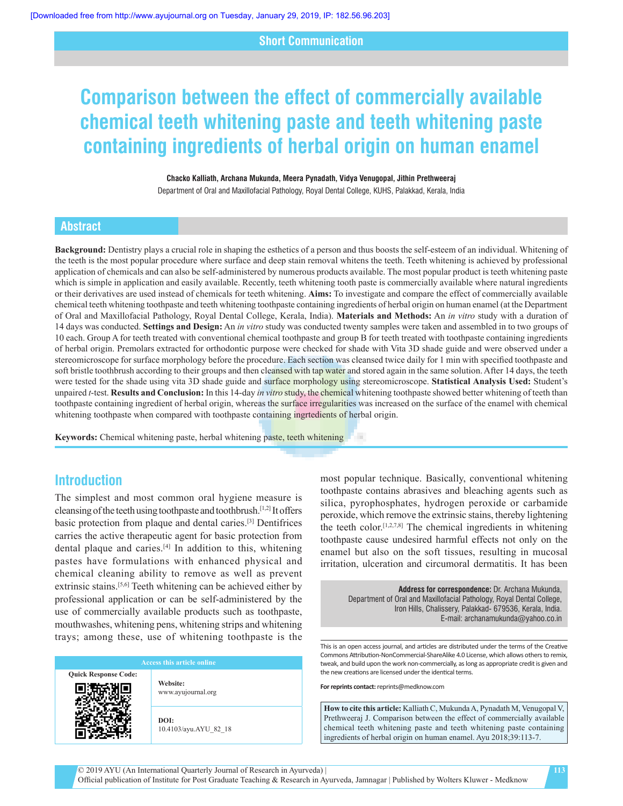### **Short Communication**

# **Comparison between the effect of commercially available chemical teeth whitening paste and teeth whitening paste containing ingredients of herbal origin on human enamel**

#### **Chacko Kalliath, Archana Mukunda, Meera Pynadath, Vidya Venugopal, Jithin Prethweeraj**

Department of Oral and Maxillofacial Pathology, Royal Dental College, KUHS, Palakkad, Kerala, India

#### **Abstract**

**Background:** Dentistry plays a crucial role in shaping the esthetics of a person and thus boosts the self-esteem of an individual. Whitening of the teeth is the most popular procedure where surface and deep stain removal whitens the teeth. Teeth whitening is achieved by professional application of chemicals and can also be self‑administered by numerous products available. The most popular product is teeth whitening paste which is simple in application and easily available. Recently, teeth whitening tooth paste is commercially available where natural ingredients or their derivatives are used instead of chemicals for teeth whitening. **Aims:** To investigate and compare the effect of commercially available chemical teeth whitening toothpaste and teeth whitening toothpaste containing ingredients of herbal origin on human enamel (at the Department of Oral and Maxillofacial Pathology, Royal Dental College, Kerala, India). **Materials and Methods:** An *in vitro* study with a duration of 14 days was conducted. **Settings and Design:** An *in vitro* study was conducted twenty samples were taken and assembled in to two groups of 10 each. Group A for teeth treated with conventional chemical toothpaste and group B for teeth treated with toothpaste containing ingredients of herbal origin. Premolars extracted for orthodontic purpose were checked for shade with Vita 3D shade guide and were observed under a stereomicroscope for surface morphology before the procedure. Each section was cleansed twice daily for 1 min with specified toothpaste and soft bristle toothbrush according to their groups and then cleansed with tap water and stored again in the same solution. After 14 days, the teeth were tested for the shade using vita 3D shade guide and surface morphology using stereomicroscope. **Statistical Analysis Used:** Student's unpaired *t*‑test. **Results and Conclusion:** In this 14‑day *in vitro* study, the chemical whitening toothpaste showed better whitening of teeth than toothpaste containing ingredient of herbal origin, whereas the surface irregularities was increased on the surface of the enamel with chemical whitening toothpaste when compared with toothpaste containing ingrtedients of herbal origin.

**Keywords:** Chemical whitening paste, herbal whitening paste, teeth whitening

# **Introduction**

The simplest and most common oral hygiene measure is cleansing of the teeth using toothpaste and toothbrush.[1,2] It offers basic protection from plaque and dental caries.[3] Dentifrices carries the active therapeutic agent for basic protection from dental plaque and caries.<sup>[4]</sup> In addition to this, whitening pastes have formulations with enhanced physical and chemical cleaning ability to remove as well as prevent extrinsic stains.<sup>[5,6]</sup> Teeth whitening can be achieved either by professional application or can be self‑administered by the use of commercially available products such as toothpaste, mouthwashes, whitening pens, whitening strips and whitening trays; among these, use of whitening toothpaste is the

**Quick Response Code:**

**Website:** www.ayujournal.org

**DOI:** 10.4103/ayu.AYU\_82\_18 most popular technique. Basically, conventional whitening toothpaste contains abrasives and bleaching agents such as silica, pyrophosphates, hydrogen peroxide or carbamide peroxide, which remove the extrinsic stains, thereby lightening the teeth color.<sup>[1,2,7,8]</sup> The chemical ingredients in whitening toothpaste cause undesired harmful effects not only on the enamel but also on the soft tissues, resulting in mucosal irritation, ulceration and circumoral dermatitis. It has been

**Address for correspondence:** Dr. Archana Mukunda, Department of Oral and Maxillofacial Pathology, Royal Dental College, Iron Hills, Chalissery, Palakkad- 679536, Kerala, India. E‑mail: archanamukunda@yahoo.co.in

This is an open access journal, and articles are distributed under the terms of the Creative Commons Attribution‑NonCommercial‑ShareAlike 4.0 License, which allows others to remix, tweak, and build upon the work non‑commercially, as long as appropriate credit is given and the new creations are licensed under the identical terms.

**For reprints contact:** reprints@medknow.com

**How to cite this article:** Kalliath C, Mukunda A, Pynadath M, Venugopal V, Prethweeraj J. Comparison between the effect of commercially available chemical teeth whitening paste and teeth whitening paste containing ingredients of herbal origin on human enamel. Ayu 2018;39:113-7.

**113**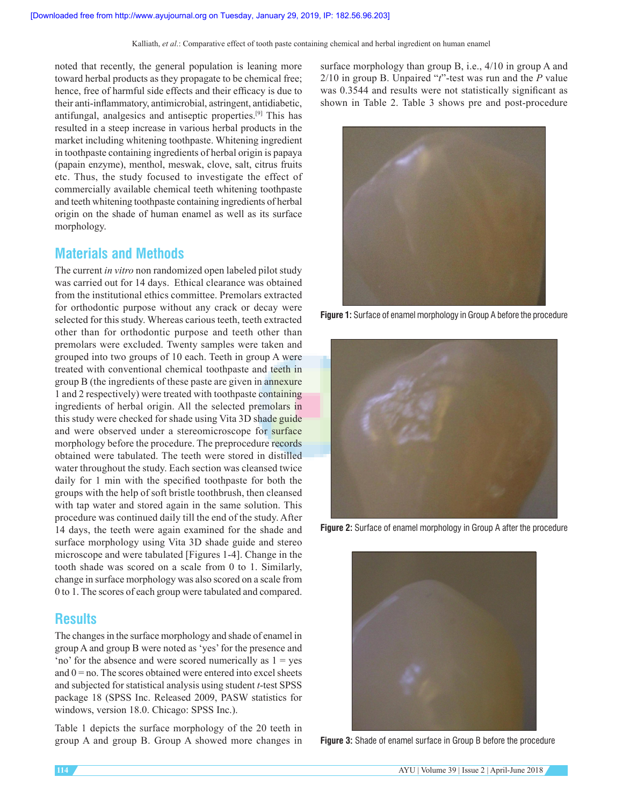noted that recently, the general population is leaning more toward herbal products as they propagate to be chemical free; hence, free of harmful side effects and their efficacy is due to their anti-inflammatory, antimicrobial, astringent, antidiabetic, antifungal, analgesics and antiseptic properties.[9] This has resulted in a steep increase in various herbal products in the market including whitening toothpaste. Whitening ingredient in toothpaste containing ingredients of herbal origin is papaya (papain enzyme), menthol, meswak, clove, salt, citrus fruits etc. Thus, the study focused to investigate the effect of commercially available chemical teeth whitening toothpaste and teeth whitening toothpaste containing ingredients of herbal origin on the shade of human enamel as well as its surface morphology.

# **Materials and Methods**

The current *in vitro* non randomized open labeled pilot study was carried out for 14 days. Ethical clearance was obtained from the institutional ethics committee. Premolars extracted for orthodontic purpose without any crack or decay were selected for this study. Whereas carious teeth, teeth extracted other than for orthodontic purpose and teeth other than premolars were excluded. Twenty samples were taken and grouped into two groups of 10 each. Teeth in group A were treated with conventional chemical toothpaste and teeth in group B (the ingredients of these paste are given in annexure 1 and 2 respectively) were treated with toothpaste containing ingredients of herbal origin. All the selected premolars in this study were checked for shade using Vita 3D shade guide and were observed under a stereomicroscope for surface morphology before the procedure. The preprocedure records obtained were tabulated. The teeth were stored in distilled water throughout the study. Each section was cleansed twice daily for 1 min with the specified toothpaste for both the groups with the help of soft bristle toothbrush, then cleansed with tap water and stored again in the same solution. This procedure was continued daily till the end of the study. After 14 days, the teeth were again examined for the shade and surface morphology using Vita 3D shade guide and stereo microscope and were tabulated [Figures 1-4]. Change in the tooth shade was scored on a scale from 0 to 1. Similarly, change in surface morphology was also scored on a scale from 0 to 1. The scores of each group were tabulated and compared.

# **Results**

The changes in the surface morphology and shade of enamel in group A and group B were noted as 'yes' for the presence and 'no' for the absence and were scored numerically as  $1 = yes$ and  $0 =$  no. The scores obtained were entered into excel sheets and subjected for statistical analysis using student *t*‑test SPSS package 18 (SPSS Inc. Released 2009, PASW statistics for windows, version 18.0. Chicago: SPSS Inc.).

Table 1 depicts the surface morphology of the 20 teeth in group A and group B. Group A showed more changes in surface morphology than group B, i.e., 4/10 in group A and 2/10 in group B. Unpaired "*t*"‑test was run and the *P* value was 0.3544 and results were not statistically significant as shown in Table 2. Table 3 shows pre and post-procedure



**Figure 1:** Surface of enamel morphology in Group A before the procedure



**Figure 2:** Surface of enamel morphology in Group A after the procedure



**Figure 3:** Shade of enamel surface in Group B before the procedure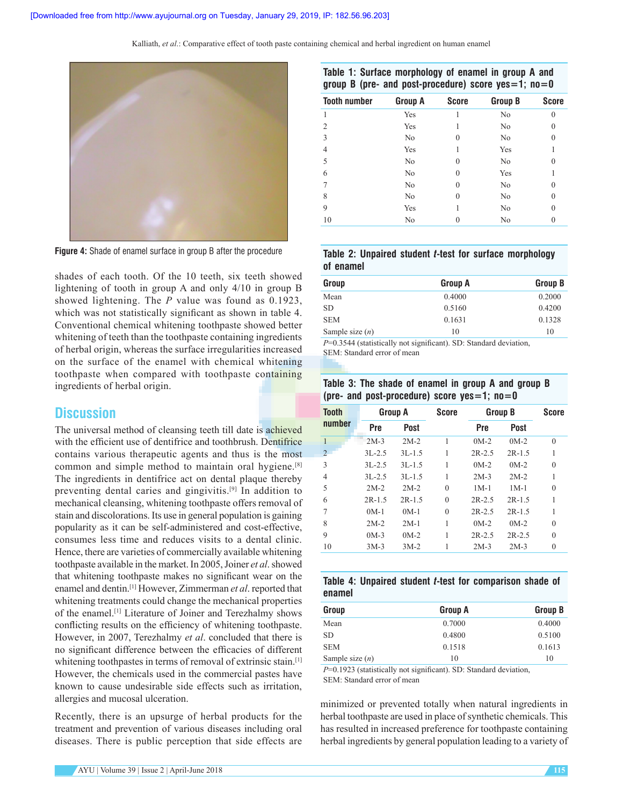

**Figure 4:** Shade of enamel surface in group B after the procedure

shades of each tooth. Of the 10 teeth, six teeth showed lightening of tooth in group A and only 4/10 in group B showed lightening. The *P* value was found as 0.1923, which was not statistically significant as shown in table 4. Conventional chemical whitening toothpaste showed better whitening of teeth than the toothpaste containing ingredients of herbal origin, whereas the surface irregularities increased on the surface of the enamel with chemical whitening toothpaste when compared with toothpaste containing ingredients of herbal origin.

# **Discussion**

The universal method of cleansing teeth till date is achieved with the efficient use of dentifrice and toothbrush. Dentifrice contains various therapeutic agents and thus is the most common and simple method to maintain oral hygiene.[8] The ingredients in dentifrice act on dental plaque thereby preventing dental caries and gingivitis.[9] In addition to mechanical cleansing, whitening toothpaste offers removal of stain and discolorations. Its use in general population is gaining popularity as it can be self‑administered and cost‑effective, consumes less time and reduces visits to a dental clinic. Hence, there are varieties of commercially available whitening toothpaste available in the market. In 2005, Joiner *et al*. showed that whitening toothpaste makes no significant wear on the enamel and dentin.[1] However, Zimmerman *et al*. reported that whitening treatments could change the mechanical properties of the enamel.[1] Literature of Joiner and Terezhalmy shows conflicting results on the efficiency of whitening toothpaste. However, in 2007, Terezhalmy *et al*. concluded that there is no significant difference between the efficacies of different whitening toothpastes in terms of removal of extrinsic stain.<sup>[1]</sup> However, the chemicals used in the commercial pastes have known to cause undesirable side effects such as irritation, allergies and mucosal ulceration.

Recently, there is an upsurge of herbal products for the treatment and prevention of various diseases including oral diseases. There is public perception that side effects are

#### **Table 1: Surface morphology of enamel in group A and group B (pre‑ and post‑procedure) score yes=1; no=0**

| <b>Tooth number</b> | Group A        | <b>Score</b> | <b>Group B</b> | <b>Score</b> |
|---------------------|----------------|--------------|----------------|--------------|
| 1                   | Yes            |              | N <sub>0</sub> | $\theta$     |
| $\overline{2}$      | Yes            | 1            | No             | $\theta$     |
| 3                   | N <sub>0</sub> | 0            | N <sub>0</sub> | 0            |
| $\overline{4}$      | Yes            |              | Yes            | 1            |
| 5                   | No             | 0            | No             | 0            |
| 6                   | N <sub>0</sub> | 0            | Yes            |              |
| 7                   | N <sub>0</sub> | 0            | No             | $\theta$     |
| 8                   | No             | 0            | N <sub>0</sub> | $\theta$     |
| 9                   | Yes            |              | No             | 0            |
| 10                  | No             | 0            | N <sub>0</sub> | 0            |
|                     |                |              |                |              |

|           |  |  |  | Table 2: Unpaired student t-test for surface morphology |
|-----------|--|--|--|---------------------------------------------------------|
| of enamel |  |  |  |                                                         |

| Group             | <b>Group A</b> | <b>Group B</b> |
|-------------------|----------------|----------------|
| Mean              | 0.4000         | 0.2000         |
| SD                | 0.5160         | 0.4200         |
| <b>SEM</b>        | 0.1631         | 0.1328         |
| Sample size $(n)$ | 10             | 10             |
|                   |                |                |

*P*=0.3544 (statistically not significant). SD: Standard deviation, SEM: Standard error of mean

#### **Table 3: The shade of enamel in group A and group B (pre‑ and post‑procedure) score yes=1; no=0**

| Tooth         | Group A    |          | <b>Score</b> | <b>Group B</b> |          | <b>Score</b> |
|---------------|------------|----------|--------------|----------------|----------|--------------|
| number        | Pre        | Post     |              | Pre            | Post     |              |
| 1             | $2M-3$     | $2M-2$   | 1            | $0M-2$         | $0M-2$   | $\theta$     |
| $\mathcal{L}$ | $3L - 2.5$ | $3L-1.5$ | 1            | $2R - 2.5$     | $2R-1.5$ |              |
| 3             | $3L - 2.5$ | $3L-1.5$ | 1            | $0M-2$         | $0M-2$   | 0            |
| 4             | $3L - 2.5$ | $3L-1.5$ | 1            | $2M-3$         | $2M-2$   |              |
| 5             | $2M-2$     | $2M-2$   | $\theta$     | $1M-1$         | $1M-1$   | $\theta$     |
| 6             | $2R-1.5$   | $2R-1.5$ | $\theta$     | $2R - 2.5$     | $2R-1.5$ |              |
| 7             | $0M-1$     | $0M-1$   | $\theta$     | $2R - 2.5$     | $2R-1.5$ |              |
| 8             | $2M-2$     | $2M-1$   | 1            | $0M-2$         | $0M-2$   | $\theta$     |
| 9             | $0M-3$     | $0M-2$   | 1            | $2R - 2.5$     | $2R-2.5$ | $\theta$     |
| 10            | $3M-3$     | $3M-2$   | 1            | $2M-3$         | $2M-3$   | 0            |

|        |  |  | Table 4: Unpaired student <i>t</i> -test for comparison shade of |  |
|--------|--|--|------------------------------------------------------------------|--|
| enamel |  |  |                                                                  |  |

| Group             | <b>Group A</b> | <b>Group B</b> |
|-------------------|----------------|----------------|
| Mean              | 0.7000         | 0.4000         |
| <b>SD</b>         | 0.4800         | 0.5100         |
| <b>SEM</b>        | 0.1518         | 0.1613         |
| Sample size $(n)$ | 10             | 10             |

*P*=0.1923 (statistically not significant). SD: Standard deviation, SEM: Standard error of mean

minimized or prevented totally when natural ingredients in herbal toothpaste are used in place of synthetic chemicals. This has resulted in increased preference for toothpaste containing herbal ingredients by general population leading to a variety of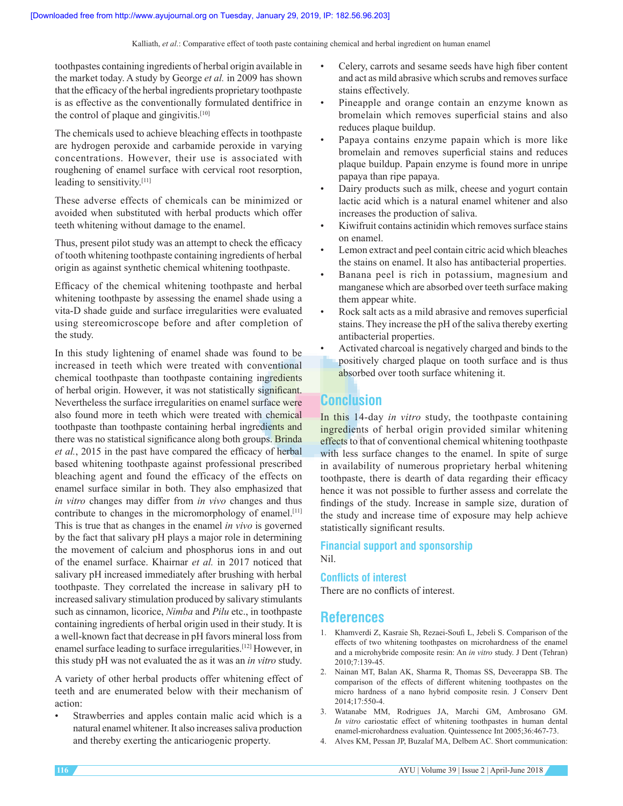toothpastes containing ingredients of herbal origin available in the market today. A study by George *et al.* in 2009 has shown that the efficacy of the herbal ingredients proprietary toothpaste is as effective as the conventionally formulated dentifrice in the control of plaque and gingivitis.[10]

The chemicals used to achieve bleaching effects in toothpaste are hydrogen peroxide and carbamide peroxide in varying concentrations. However, their use is associated with roughening of enamel surface with cervical root resorption, leading to sensitivity.[11]

These adverse effects of chemicals can be minimized or avoided when substituted with herbal products which offer teeth whitening without damage to the enamel.

Thus, present pilot study was an attempt to check the efficacy of tooth whitening toothpaste containing ingredients of herbal origin as against synthetic chemical whitening toothpaste.

Efficacy of the chemical whitening toothpaste and herbal whitening toothpaste by assessing the enamel shade using a vita‑D shade guide and surface irregularities were evaluated using stereomicroscope before and after completion of the study.

In this study lightening of enamel shade was found to be increased in teeth which were treated with conventional chemical toothpaste than toothpaste containing ingredients of herbal origin. However, it was not statistically significant. Nevertheless the surface irregularities on enamel surface were also found more in teeth which were treated with chemical toothpaste than toothpaste containing herbal ingredients and there was no statistical significance along both groups. Brinda *et al.*, 2015 in the past have compared the efficacy of herbal based whitening toothpaste against professional prescribed bleaching agent and found the efficacy of the effects on enamel surface similar in both. They also emphasized that *in vitro* changes may differ from *in vivo* changes and thus contribute to changes in the micromorphology of enamel.[11] This is true that as changes in the enamel *in vivo* is governed by the fact that salivary pH plays a major role in determining the movement of calcium and phosphorus ions in and out of the enamel surface. Khairnar *et al.* in 2017 noticed that salivary pH increased immediately after brushing with herbal toothpaste. They correlated the increase in salivary pH to increased salivary stimulation produced by salivary stimulants such as cinnamon, licorice, *Nimba* and *Pilu* etc., in toothpaste containing ingredients of herbal origin used in their study. It is a well-known fact that decrease in pH favors mineral loss from enamel surface leading to surface irregularities.[12] However, in this study pH was not evaluated the as it was an *in vitro* study.

A variety of other herbal products offer whitening effect of teeth and are enumerated below with their mechanism of action:

Strawberries and apples contain malic acid which is a natural enamel whitener. It also increases saliva production and thereby exerting the anticariogenic property.

- Celery, carrots and sesame seeds have high fiber content and act as mild abrasive which scrubs and removes surface stains effectively.
- Pineapple and orange contain an enzyme known as bromelain which removes superficial stains and also reduces plaque buildup.
- Papaya contains enzyme papain which is more like bromelain and removes superficial stains and reduces plaque buildup. Papain enzyme is found more in unripe papaya than ripe papaya.
- Dairy products such as milk, cheese and yogurt contain lactic acid which is a natural enamel whitener and also increases the production of saliva.
- Kiwifruit contains actinidin which removes surface stains on enamel.
- Lemon extract and peel contain citric acid which bleaches the stains on enamel. It also has antibacterial properties.
- Banana peel is rich in potassium, magnesium and manganese which are absorbed over teeth surface making them appear white.
- Rock salt acts as a mild abrasive and removes superficial stains. They increase the pH of the saliva thereby exerting antibacterial properties.
- Activated charcoal is negatively charged and binds to the positively charged plaque on tooth surface and is thus absorbed over tooth surface whitening it.

# **Conclusion**

In this 14‑day *in vitro* study, the toothpaste containing ingredients of herbal origin provided similar whitening effects to that of conventional chemical whitening toothpaste with less surface changes to the enamel. In spite of surge in availability of numerous proprietary herbal whitening toothpaste, there is dearth of data regarding their efficacy hence it was not possible to further assess and correlate the findings of the study. Increase in sample size, duration of the study and increase time of exposure may help achieve statistically significant results.

#### **Financial support and sponsorship** Nil.

#### **Conflicts of interest**

There are no conflicts of interest.

# **References**

- 1. Khamverdi Z, Kasraie Sh, Rezaei‑Soufi L, Jebeli S. Comparison of the effects of two whitening toothpastes on microhardness of the enamel and a microhybride composite resin: An *in vitro* study. J Dent (Tehran) 2010;7:139‑45.
- 2. Nainan MT, Balan AK, Sharma R, Thomas SS, Deveerappa SB. The comparison of the effects of different whitening toothpastes on the micro hardness of a nano hybrid composite resin. J Conserv Dent 2014;17:550‑4.
- 3. Watanabe MM, Rodrigues JA, Marchi GM, Ambrosano GM. *In vitro* cariostatic effect of whitening toothpastes in human dental enamel-microhardness evaluation. Quintessence Int 2005;36:467-73.
- 4. Alves KM, Pessan JP, Buzalaf MA, Delbem AC. Short communication: